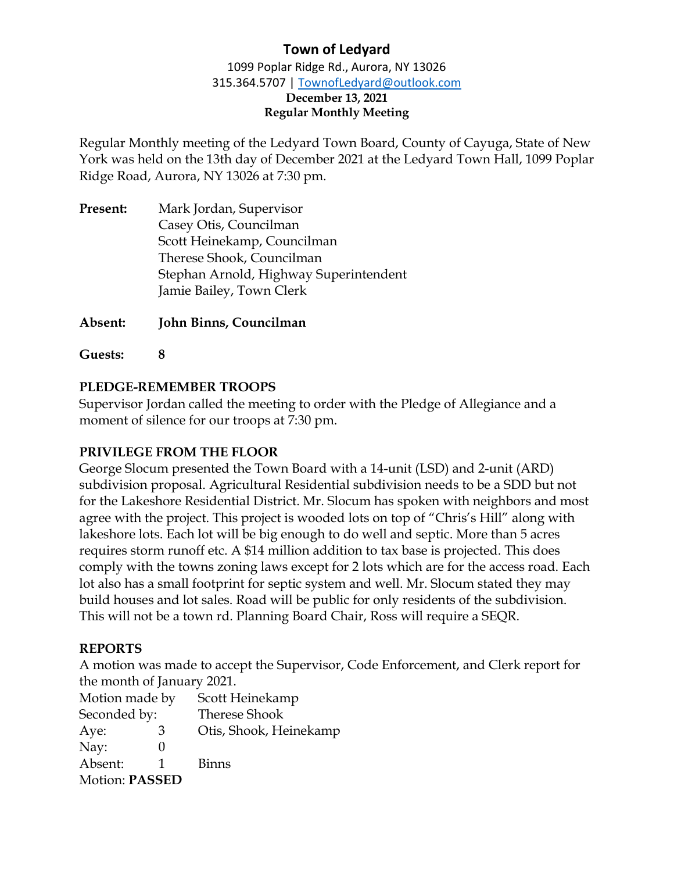# **Town of Ledyard**

1099 Poplar Ridge Rd., Aurora, NY 13026 315.364.5707 | [TownofLedyard@outlook.com](mailto:TownofLedyard@outlook.com) **December 13, 2021**

# **Regular Monthly Meeting**

Regular Monthly meeting of the Ledyard Town Board, County of Cayuga, State of New York was held on the 13th day of December 2021 at the Ledyard Town Hall, 1099 Poplar Ridge Road, Aurora, NY 13026 at 7:30 pm.

**Present:** Mark Jordan, Supervisor Casey Otis, Councilman Scott Heinekamp, Councilman Therese Shook, Councilman Stephan Arnold, Highway Superintendent Jamie Bailey, Town Clerk

**Absent: John Binns, Councilman**

**Guests: 8**

## **PLEDGE-REMEMBER TROOPS**

Supervisor Jordan called the meeting to order with the Pledge of Allegiance and a moment of silence for our troops at 7:30 pm.

#### **PRIVILEGE FROM THE FLOOR**

George Slocum presented the Town Board with a 14-unit (LSD) and 2-unit (ARD) subdivision proposal. Agricultural Residential subdivision needs to be a SDD but not for the Lakeshore Residential District. Mr. Slocum has spoken with neighbors and most agree with the project. This project is wooded lots on top of "Chris's Hill" along with lakeshore lots. Each lot will be big enough to do well and septic. More than 5 acres requires storm runoff etc. A \$14 million addition to tax base is projected. This does comply with the towns zoning laws except for 2 lots which are for the access road. Each lot also has a small footprint for septic system and well. Mr. Slocum stated they may build houses and lot sales. Road will be public for only residents of the subdivision. This will not be a town rd. Planning Board Chair, Ross will require a SEQR.

#### **REPORTS**

A motion was made to accept the Supervisor, Code Enforcement, and Clerk report for the month of January 2021.

| Motion made by        | Scott Heinekamp        |
|-----------------------|------------------------|
| Seconded by:          | <b>Therese Shook</b>   |
| Aye:<br>3             | Otis, Shook, Heinekamp |
| Nay:                  |                        |
| Absent:               | <b>Binns</b>           |
| <b>Motion: PASSED</b> |                        |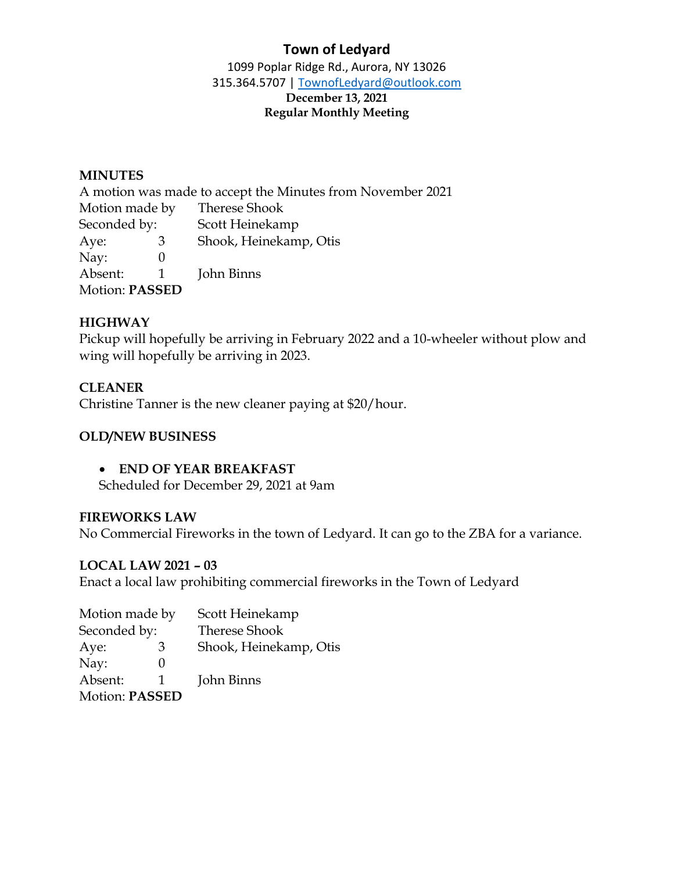# **Town of Ledyard**

1099 Poplar Ridge Rd., Aurora, NY 13026 315.364.5707 | [TownofLedyard@outlook.com](mailto:TownofLedyard@outlook.com) **December 13, 2021 Regular Monthly Meeting**

#### **MINUTES**

A motion was made to accept the Minutes from November 2021 Motion made by Therese Shook Seconded by: Scott Heinekamp Aye: 3 Shook, Heinekamp, Otis Nay: 0 Absent: 1 John Binns Motion: **PASSED**

#### **HIGHWAY**

Pickup will hopefully be arriving in February 2022 and a 10-wheeler without plow and wing will hopefully be arriving in 2023.

#### **CLEANER**

Christine Tanner is the new cleaner paying at \$20/hour.

#### **OLD/NEW BUSINESS**

#### • **END OF YEAR BREAKFAST**

Scheduled for December 29, 2021 at 9am

#### **FIREWORKS LAW**

No Commercial Fireworks in the town of Ledyard. It can go to the ZBA for a variance.

#### **LOCAL LAW 2021 – 03**

Enact a local law prohibiting commercial fireworks in the Town of Ledyard

| Motion made by        |   | Scott Heinekamp        |
|-----------------------|---|------------------------|
| Seconded by:          |   | <b>Therese Shook</b>   |
| Aye:                  | З | Shook, Heinekamp, Otis |
| Nay:                  |   |                        |
| Absent:               | 1 | John Binns             |
| <b>Motion: PASSED</b> |   |                        |